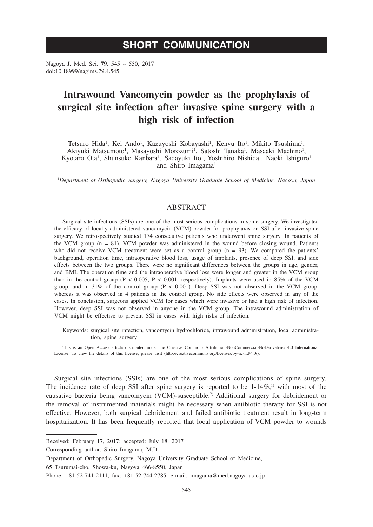# **SHORT COMMUNICATION**

Nagoya J. Med. Sci. **79**. 545 ~ 550, 2017 doi:10.18999/nagjms.79.4.545

# **Intrawound Vancomycin powder as the prophylaxis of surgical site infection after invasive spine surgery with a high risk of infection**

Tetsuro Hida<sup>1</sup>, Kei Ando<sup>1</sup>, Kazuyoshi Kobayashi<sup>1</sup>, Kenyu Ito<sup>1</sup>, Mikito Tsushima<sup>1</sup>, Akiyuki Matsumoto<sup>1</sup>, Masayoshi Morozumi<sup>1</sup>, Satoshi Tanaka<sup>1</sup>, Masaaki Machino<sup>1</sup>, Kyotaro Ota<sup>1</sup>, Shunsuke Kanbara<sup>1</sup>, Sadayuki Ito<sup>1</sup>, Yoshihiro Nishida<sup>1</sup>, Naoki Ishiguro<sup>1</sup> and Shiro Imagama<sup>1</sup>

*1 Department of Orthopedic Surgery, Nagoya University Graduate School of Medicine, Nagoya, Japan*

## ABSTRACT

Surgical site infections (SSIs) are one of the most serious complications in spine surgery. We investigated the efficacy of locally administered vancomycin (VCM) powder for prophylaxis on SSI after invasive spine surgery. We retrospectively studied 174 consecutive patients who underwent spine surgery. In patients of the VCM group (n = 81), VCM powder was administered in the wound before closing wound. Patients who did not receive VCM treatment were set as a control group  $(n = 93)$ . We compared the patients' background, operation time, intraoperative blood loss, usage of implants, presence of deep SSI, and side effects between the two groups. There were no significant differences between the groups in age, gender, and BMI. The operation time and the intraoperative blood loss were longer and greater in the VCM group than in the control group ( $P < 0.005$ ,  $P < 0.001$ , respectively). Implants were used in 85% of the VCM group, and in 31% of the control group ( $P < 0.001$ ). Deep SSI was not observed in the VCM group, whereas it was observed in 4 patients in the control group. No side effects were observed in any of the cases. In conclusion, surgeons applied VCM for cases which were invasive or had a high risk of infection. However, deep SSI was not observed in anyone in the VCM group. The intrawound administration of VCM might be effective to prevent SSI in cases with high risks of infection.

Keywords: surgical site infection, vancomycin hydrochloride, intrawound administration, local administration, spine surgery

This is an Open Access article distributed under the Creative Commons Attribution-NonCommercial-NoDerivatives 4.0 International License. To view the details of this license, please visit (http://creativecommons.org/licenses/by-nc-nd/4.0/).

Surgical site infections (SSIs) are one of the most serious complications of spine surgery. The incidence rate of deep SSI after spine surgery is reported to be  $1-14\%,1$  with most of the causative bacteria being vancomycin (VCM)-susceptible.2) Additional surgery for debridement or the removal of instrumented materials might be necessary when antibiotic therapy for SSI is not effective. However, both surgical debridement and failed antibiotic treatment result in long-term hospitalization. It has been frequently reported that local application of VCM powder to wounds

Received: February 17, 2017; accepted: July 18, 2017

Corresponding author: Shiro Imagama, M.D.

Department of Orthopedic Surgery, Nagoya University Graduate School of Medicine,

<sup>65</sup> Tsurumai-cho, Showa-ku, Nagoya 466-8550, Japan

Phone: +81-52-741-2111, fax: +81-52-744-2785, e-mail: imagama@med.nagoya-u.ac.jp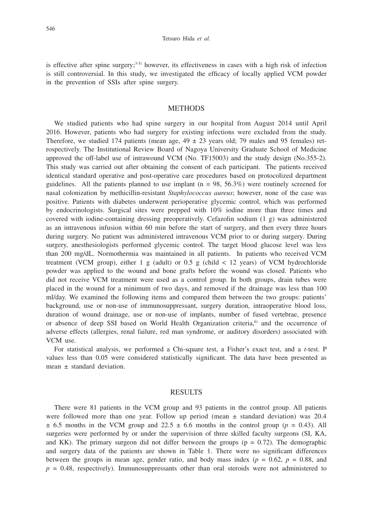is effective after spine surgery; $3-5$ ) however, its effectiveness in cases with a high risk of infection is still controversial. In this study, we investigated the efficacy of locally applied VCM powder in the prevention of SSIs after spine surgery.

## **METHODS**

We studied patients who had spine surgery in our hospital from August 2014 until April 2016. However, patients who had surgery for existing infections were excluded from the study. Therefore, we studied 174 patients (mean age,  $49 \pm 23$  years old; 79 males and 95 females) retrospectively. The Institutional Review Board of Nagoya University Graduate School of Medicine approved the off-label use of intrawound VCM (No. TF15003) and the study design (No.355-2). This study was carried out after obtaining the consent of each participant. The patients received identical standard operative and post-operative care procedures based on protocolized department guidelines. All the patients planned to use implant  $(n = 98, 56.3\%)$  were routinely screened for nasal colonization by methicillin-resistant *Staphylococcus aureus*; however, none of the case was positive. Patients with diabetes underwent perioperative glycemic control, which was performed by endocrinologists. Surgical sites were prepped with 10% iodine more than three times and covered with iodine-containing dressing preoperatively. Cefazolin sodium (1 g) was administered as an intravenous infusion within 60 min before the start of surgery, and then every three hours during surgery. No patient was administered intravenous VCM prior to or during surgery. During surgery, anesthesiologists performed glycemic control. The target blood glucose level was less than 200 mg/dL. Normothermia was maintained in all patients. In patients who received VCM treatment (VCM group), either 1 g (adult) or 0.5 g (child  $<$  12 years) of VCM hydrochloride powder was applied to the wound and bone grafts before the wound was closed. Patients who did not receive VCM treatment were used as a control group. In both groups, drain tubes were placed in the wound for a minimum of two days, and removed if the drainage was less than 100 ml/day. We examined the following items and compared them between the two groups: patients' background, use or non-use of immunosuppressant, surgery duration, intraoperative blood loss, duration of wound drainage, use or non-use of implants, number of fused vertebrae, presence or absence of deep SSI based on World Health Organization criteria, $6$  and the occurrence of adverse effects (allergies, renal failure, red man syndrome, or auditory disorders) associated with VCM use.

For statistical analysis, we performed a Chi-square test, a Fisher's exact test, and a *t*-test. P values less than 0.05 were considered statistically significant. The data have been presented as mean ± standard deviation.

#### RESULTS

There were 81 patients in the VCM group and 93 patients in the control group. All patients were followed more than one year. Follow up period (mean  $\pm$  standard deviation) was 20.4  $\pm$  6.5 months in the VCM group and 22.5  $\pm$  6.6 months in the control group ( $p = 0.43$ ). All surgeries were performed by or under the supervision of three skilled faculty surgeons (SI, KA, and KK). The primary surgeon did not differ between the groups  $(p = 0.72)$ . The demographic and surgery data of the patients are shown in Table 1. There were no significant differences between the groups in mean age, gender ratio, and body mass index  $(p = 0.62, p = 0.88,$  and  $p = 0.48$ , respectively). Immunosuppressants other than oral steroids were not administered to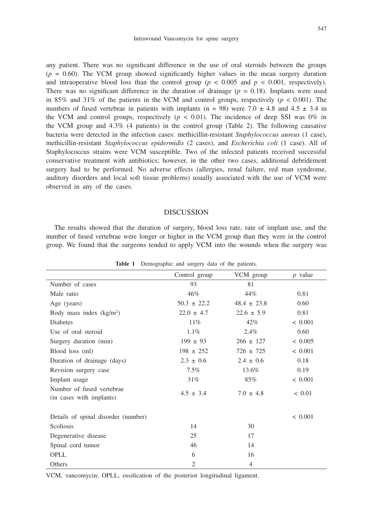any patient. There was no significant difference in the use of oral steroids between the groups  $(p = 0.60)$ . The VCM group showed significantly higher values in the mean surgery duration and intraoperative blood loss than the control group ( $p < 0.005$  and  $p < 0.001$ , respectively). There was no significant difference in the duration of drainage  $(p = 0.18)$ . Implants were used in 85% and 31% of the patients in the VCM and control groups, respectively ( $p < 0.001$ ). The numbers of fused vertebrae in patients with implants (n = 98) were 7.0  $\pm$  4.8 and 4.5  $\pm$  3.4 in the VCM and control groups, respectively ( $p < 0.01$ ). The incidence of deep SSI was 0% in the VCM group and 4.3% (4 patients) in the control group (Table 2). The following causative bacteria were detected in the infection cases: methicillin-resistant *Staphylococcus aureus* (1 case), methicillin-resistant *Staphylococcus epidermidis* (2 cases), and *Escherichia coli* (1 case). All of Staphylococcus strains were VCM susceptible. Two of the infected patients received successful conservative treatment with antibiotics; however, in the other two cases, additional debridement surgery had to be performed. No adverse effects (allergies, renal failure, red man syndrome, auditory disorders and local soft tissue problems) usually associated with the use of VCM were observed in any of the cases.

### DISCUSSION

The results showed that the duration of surgery, blood loss rate, rate of implant use, and the number of fused vertebrae were longer or higher in the VCM group than they were in the control group. We found that the surgeons tended to apply VCM into the wounds when the surgery was

| Control group<br>VCM group<br>$p$ value<br>Number of cases<br>93<br>81<br>46%<br>44%<br>0.81<br>Male ratio<br>$50.3 \pm 22.2$<br>$48.4 \pm 23.8$<br>0.60<br>Age (years)<br>$22.6 \pm 5.9$<br>Body mass index $(kg/m2)$<br>$22.0 \pm 4.7$<br>0.81<br>$11\%$<br>42%<br>< 0.001<br>Diabetes<br>$1.1\%$<br>0.60<br>Use of oral steroid<br>$2.4\%$<br>< 0.005<br>Surgery duration (min)<br>$199 \pm 93$<br>$266 \pm 127$<br>< 0.001<br>Blood loss (ml)<br>$198 \pm 252$<br>$726 \pm 725$<br>Duration of drainage (days)<br>$2.3 \pm 0.6$<br>$2.4 \pm 0.6$<br>0.18<br>0.19<br>Revision surgery case<br>$7.5\%$<br>13.6%<br>85%<br>< 0.001<br>Implant usage<br>31%<br>Number of fused vertebrae<br>$4.5 \pm 3.4$<br>$7.0 \pm 4.8$<br>< 0.01<br>(in cases with implants)<br>< 0.001<br>Details of spinal disorder (number)<br>Scoliosis<br>14<br>30<br>25<br>Degenerative disease<br>17<br>Spinal cord tumor<br>46<br>14<br>OPLL<br>6<br>16<br>$\overline{2}$<br>Others<br>4 |  |  |
|----------------------------------------------------------------------------------------------------------------------------------------------------------------------------------------------------------------------------------------------------------------------------------------------------------------------------------------------------------------------------------------------------------------------------------------------------------------------------------------------------------------------------------------------------------------------------------------------------------------------------------------------------------------------------------------------------------------------------------------------------------------------------------------------------------------------------------------------------------------------------------------------------------------------------------------------------------------------|--|--|
|                                                                                                                                                                                                                                                                                                                                                                                                                                                                                                                                                                                                                                                                                                                                                                                                                                                                                                                                                                      |  |  |
|                                                                                                                                                                                                                                                                                                                                                                                                                                                                                                                                                                                                                                                                                                                                                                                                                                                                                                                                                                      |  |  |
|                                                                                                                                                                                                                                                                                                                                                                                                                                                                                                                                                                                                                                                                                                                                                                                                                                                                                                                                                                      |  |  |
|                                                                                                                                                                                                                                                                                                                                                                                                                                                                                                                                                                                                                                                                                                                                                                                                                                                                                                                                                                      |  |  |
|                                                                                                                                                                                                                                                                                                                                                                                                                                                                                                                                                                                                                                                                                                                                                                                                                                                                                                                                                                      |  |  |
|                                                                                                                                                                                                                                                                                                                                                                                                                                                                                                                                                                                                                                                                                                                                                                                                                                                                                                                                                                      |  |  |
|                                                                                                                                                                                                                                                                                                                                                                                                                                                                                                                                                                                                                                                                                                                                                                                                                                                                                                                                                                      |  |  |
|                                                                                                                                                                                                                                                                                                                                                                                                                                                                                                                                                                                                                                                                                                                                                                                                                                                                                                                                                                      |  |  |
|                                                                                                                                                                                                                                                                                                                                                                                                                                                                                                                                                                                                                                                                                                                                                                                                                                                                                                                                                                      |  |  |
|                                                                                                                                                                                                                                                                                                                                                                                                                                                                                                                                                                                                                                                                                                                                                                                                                                                                                                                                                                      |  |  |
|                                                                                                                                                                                                                                                                                                                                                                                                                                                                                                                                                                                                                                                                                                                                                                                                                                                                                                                                                                      |  |  |
|                                                                                                                                                                                                                                                                                                                                                                                                                                                                                                                                                                                                                                                                                                                                                                                                                                                                                                                                                                      |  |  |
|                                                                                                                                                                                                                                                                                                                                                                                                                                                                                                                                                                                                                                                                                                                                                                                                                                                                                                                                                                      |  |  |
|                                                                                                                                                                                                                                                                                                                                                                                                                                                                                                                                                                                                                                                                                                                                                                                                                                                                                                                                                                      |  |  |
|                                                                                                                                                                                                                                                                                                                                                                                                                                                                                                                                                                                                                                                                                                                                                                                                                                                                                                                                                                      |  |  |
|                                                                                                                                                                                                                                                                                                                                                                                                                                                                                                                                                                                                                                                                                                                                                                                                                                                                                                                                                                      |  |  |
|                                                                                                                                                                                                                                                                                                                                                                                                                                                                                                                                                                                                                                                                                                                                                                                                                                                                                                                                                                      |  |  |
|                                                                                                                                                                                                                                                                                                                                                                                                                                                                                                                                                                                                                                                                                                                                                                                                                                                                                                                                                                      |  |  |
|                                                                                                                                                                                                                                                                                                                                                                                                                                                                                                                                                                                                                                                                                                                                                                                                                                                                                                                                                                      |  |  |
|                                                                                                                                                                                                                                                                                                                                                                                                                                                                                                                                                                                                                                                                                                                                                                                                                                                                                                                                                                      |  |  |
|                                                                                                                                                                                                                                                                                                                                                                                                                                                                                                                                                                                                                                                                                                                                                                                                                                                                                                                                                                      |  |  |

**Table 1** Demographic and surgery data of the patients.

VCM, vancomycin; OPLL, ossification of the posterior longitudinal ligament.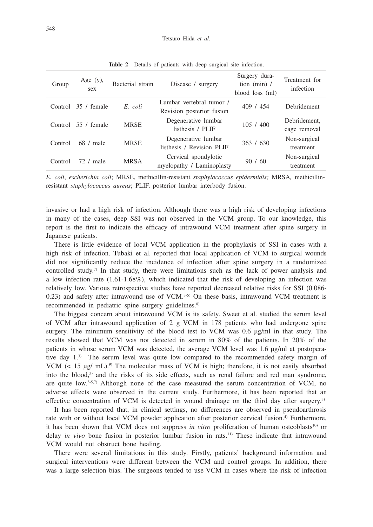| Group   | Age $(y)$ ,<br>sex | Bacterial strain | Disease / surgery                                     | Surgery dura-<br>tion $(min)$ /<br>blood loss (ml) | Treatment for<br>infection   |
|---------|--------------------|------------------|-------------------------------------------------------|----------------------------------------------------|------------------------------|
| Control | 35 / female        | E. coli          | Lumbar vertebral tumor /<br>Revision posterior fusion | 409 / 454                                          | Debridement                  |
| Control | 55 / female        | <b>MRSE</b>      | Degenerative lumbar<br>listhesis / PLIF               | 105/400                                            | Debridement.<br>cage removal |
| Control | $68 /$ male        | <b>MRSE</b>      | Degenerative lumbar<br>listhesis / Revision PLIF      | 363 / 630                                          | Non-surgical<br>treatment    |
| Control | 72. / male         | <b>MRSA</b>      | Cervical spondylotic<br>myelopathy / Laminoplasty     | 90/60                                              | Non-surgical<br>treatment    |

**Table 2** Details of patients with deep surgical site infection.

*E. coli*, *escherichia coli*; MRSE, methicillin-resistant *staphylococcus epidermidis;* MRSA*,* methicillinresistant *staphylococcus aureus*; PLIF, posterior lumbar interbody fusion.

invasive or had a high risk of infection. Although there was a high risk of developing infections in many of the cases, deep SSI was not observed in the VCM group. To our knowledge, this report is the first to indicate the efficacy of intrawound VCM treatment after spine surgery in Japanese patients.

There is little evidence of local VCM application in the prophylaxis of SSI in cases with a high risk of infection. Tubaki et al. reported that local application of VCM to surgical wounds did not significantly reduce the incidence of infection after spine surgery in a randomized controlled study.<sup>7)</sup> In that study, there were limitations such as the lack of power analysis and a low infection rate (1.61-1.68%), which indicated that the risk of developing an infection was relatively low. Various retrospective studies have reported decreased relative risks for SSI (0.086- 0.23) and safety after intrawound use of VCM. $3-5$  On these basis, intrawound VCM treatment is recommended in pediatric spine surgery guidelines.<sup>8)</sup>

The biggest concern about intrawound VCM is its safety. Sweet et al. studied the serum level of VCM after intrawound application of  $2 \text{ g}$  VCM in 178 patients who had undergone spine surgery. The minimum sensitivity of the blood test to VCM was 0.6 μg/ml in that study. The results showed that VCM was not detected in serum in 80% of the patients. In 20% of the patients in whose serum VCM was detected, the average VCM level was 1.6 μg/ml at postoperative day 1.3) The serum level was quite low compared to the recommended safety margin of VCM ( $\lt 15 \mu g / \text{mL}$ ).<sup>9)</sup> The molecular mass of VCM is high; therefore, it is not easily absorbed into the blood, $3$  and the risks of its side effects, such as renal failure and red man syndrome, are quite low.3-5,7) Although none of the case measured the serum concentration of VCM, no adverse effects were observed in the current study. Furthermore, it has been reported that an effective concentration of VCM is detected in wound drainage on the third day after surgery.<sup>3)</sup>

It has been reported that, in clinical settings, no differences are observed in pseudoarthrosis rate with or without local VCM powder application after posterior cervical fusion.<sup>4)</sup> Furthermore, it has been shown that VCM does not suppress *in vitro* proliferation of human osteoblasts<sup>10</sup> or delay *in vivo* bone fusion in posterior lumbar fusion in rats.11) These indicate that intrawound VCM would not obstruct bone healing.

There were several limitations in this study. Firstly, patients' background information and surgical interventions were different between the VCM and control groups. In addition, there was a large selection bias. The surgeons tended to use VCM in cases where the risk of infection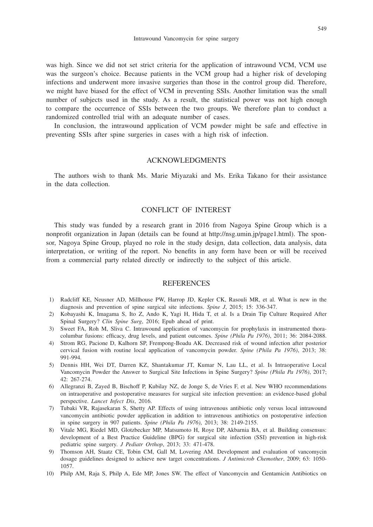was high. Since we did not set strict criteria for the application of intrawound VCM, VCM use was the surgeon's choice. Because patients in the VCM group had a higher risk of developing infections and underwent more invasive surgeries than those in the control group did. Therefore, we might have biased for the effect of VCM in preventing SSIs. Another limitation was the small number of subjects used in the study. As a result, the statistical power was not high enough to compare the occurrence of SSIs between the two groups. We therefore plan to conduct a randomized controlled trial with an adequate number of cases.

In conclusion, the intrawound application of VCM powder might be safe and effective in preventing SSIs after spine surgeries in cases with a high risk of infection.

## ACKNOWLEDGMENTS

The authors wish to thank Ms. Marie Miyazaki and Ms. Erika Takano for their assistance in the data collection.

## CONFLICT OF INTEREST

This study was funded by a research grant in 2016 from Nagoya Spine Group which is a nonprofit organization in Japan (details can be found at http://nsg.umin.jp/page1.html). The sponsor, Nagoya Spine Group, played no role in the study design, data collection, data analysis, data interpretation, or writing of the report. No benefits in any form have been or will be received from a commercial party related directly or indirectly to the subject of this article.

### **REFERENCES**

- 1) Radcliff KE, Neusner AD, Millhouse PW, Harrop JD, Kepler CK, Rasouli MR, et al. What is new in the diagnosis and prevention of spine surgical site infections. *Spine J*, 2015; 15: 336-347.
- 2) Kobayashi K, Imagama S, Ito Z, Ando K, Yagi H, Hida T, et al. Is a Drain Tip Culture Required After Spinal Surgery? *Clin Spine Surg*, 2016; Epub ahead of print.
- 3) Sweet FA, Roh M, Sliva C. Intrawound application of vancomycin for prophylaxis in instrumented thoracolumbar fusions: efficacy, drug levels, and patient outcomes. *Spine (Phila Pa 1976)*, 2011; 36: 2084-2088.
- 4) Strom RG, Pacione D, Kalhorn SP, Frempong-Boadu AK. Decreased risk of wound infection after posterior cervical fusion with routine local application of vancomycin powder. *Spine (Phila Pa 1976)*, 2013; 38: 991-994.
- 5) Dennis HH, Wei DT, Darren KZ, Shantakumar JT, Kumar N, Lau LL, et al. Is Intraoperative Local Vancomycin Powder the Answer to Surgical Site Infections in Spine Surgery? *Spine (Phila Pa 1976)*, 2017; 42: 267-274.
- 6) Allegranzi B, Zayed B, Bischoff P, Kubilay NZ, de Jonge S, de Vries F, et al. New WHO recommendations on intraoperative and postoperative measures for surgical site infection prevention: an evidence-based global perspective. *Lancet Infect Dis*, 2016.
- 7) Tubaki VR, Rajasekaran S, Shetty AP. Effects of using intravenous antibiotic only versus local intrawound vancomycin antibiotic powder application in addition to intravenous antibiotics on postoperative infection in spine surgery in 907 patients. *Spine (Phila Pa 1976)*, 2013; 38: 2149-2155.
- 8) Vitale MG, Riedel MD, Glotzbecker MP, Matsumoto H, Roye DP, Akbarnia BA, et al. Building consensus: development of a Best Practice Guideline (BPG) for surgical site infection (SSI) prevention in high-risk pediatric spine surgery. *J Pediatr Orthop*, 2013; 33: 471-478.
- 9) Thomson AH, Staatz CE, Tobin CM, Gall M, Lovering AM. Development and evaluation of vancomycin dosage guidelines designed to achieve new target concentrations. *J Antimicrob Chemother*, 2009; 63: 1050- 1057.
- 10) Philp AM, Raja S, Philp A, Ede MP, Jones SW. The effect of Vancomycin and Gentamicin Antibiotics on